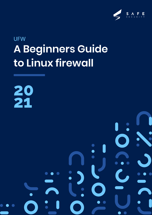

# UFW **A Beginners Guide to Linux firewall**

**20 21**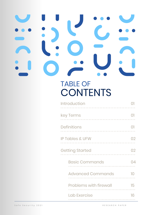# TABLE OF **CONTENTS**

| <b>Introduction</b>           |    |
|-------------------------------|----|
| key Terms                     |    |
| <b>Definitions</b>            |    |
| <b>IP Tables &amp; UFW</b>    | 02 |
| <b>Getting Started</b>        | 32 |
| <b>Basic Commands</b>         |    |
| <b>Advanced Commands</b>      | 10 |
| <b>Problems with firewall</b> | 15 |
| <b>Lab Exercise</b>           | 16 |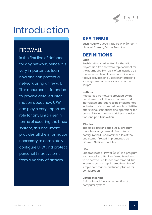

# Introduction

# FIREWALL

is the first line of defence for any network, hence it is very important to learn how one can protect a network using a firewall. This document is intended to provide detailed information about how UFW can play a very important role for any Linux user in terms of securing the Linux system, this document provides all the information necessary to completely configure UFW and protect personal Linux systems from a variety of attacks.

# **KEY TERMS**

Bash, Netfilterqueue, IPtables, UFW (Uncomplicated Firewall), Virtual Machine.

# **DEFINITIONS**

#### **Bash**

Bash is a Unix shell written for the GNU Project as a free software replacement for the Bourne shell (sh). It is often installed as the system's default command-line interface. It provides end users an interface to issue system commands and execute scripts.

#### **Netfilter**

Netfilter is a framework provided by the Linux kernel that allows various networking-related operations to be implemented in the form of customized handlers. Netfilter offers various functions and operations for packet filtering, network address translation, and port translation.

#### **IPtables**

Iptables is a user-space utility program that allows a system administrator to configure the IP packet filter rules of the Linux kernel firewall, implemented as different Netfilter modules

#### **UFW**

Uncomplicated Firewall (UFW) is a program for managing a Netfilter firewall designed to be easy to use. It uses a command-line interface consisting of a small number of simple commands, and uses iptables for configuration.

#### **Virtual Machine**

A virtual machine is an emulation of a computer system.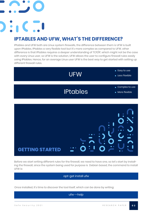# $\cdot$  .  $\cdot$  .  $\cdot$

# **IPTABLES AND UFW, WHAT'S THE DIFFERENCE?**

IPtables and UFW both are Linux system firewalls, the difference between them is UFW is built upon IPtables, IPtables a very flexible tool but it's more complex as compared to UFW, other difference is that IPtables requires a deeper understanding of TCP/IP, which might not be the case with every Linux user, so UFW is the solution, UFW allows the user to configure firewall rules easily using IPtables. Hence, for an average Linux user UFW is the best way to get started with setting up different firewall rules.



Before we start writing different rules for the firewall, we need to have one, so let's start by installing the firewall, since the system being used for purpose is Debian based, the command to install UFW is:

apt-get install ufw

Once installed, it's time to discover the tool itself, which can be done by writing:

ufw --help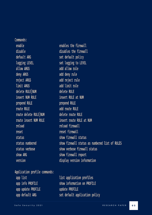Commands: enable disable default ARG logging LEVEL allow ARGS deny ARGS reject ARGS limit ARGS delete RULE NUM insert NUM RULE prepend RULE route RULE route delete RULE NUM route insert NUM RULE reload reset status status numbered status verbose show ARG version Application profile commands: app list app info PROFILE app update PROFILE app default ARG

enables the firewall disables the firewall set default policy set logging to LEVEL add allow rule add deny rule add reject rule add limit rule delete RULE insert RULE at NUM prepend RULE add route RULE delete route RULE insert route RULE at NUM reload firewall reset firewall show firewall status show firewall status as numbered list of RULES show verbose firewall status show firewall report display version information

list application profiles show information on PROFILE update PROFILE set default application policy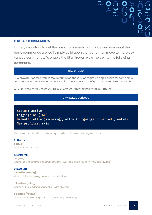#### **BASIC COMMANDS**

It's very important to get the basic commands right, once we know what the basic commands are we'll simply build upon them and then move to more advanced commands. To enable the UFW firewall we simply write the following command.

#### ufw enable

UFW firewall, it comes with some default rules, these rules might be appropriate for some situations but not necessarily for every situation , so it's best to configure the firewall from scratch.

Let's first view what the default rules are, to do that write following command:

#### ufw status verbose

Status: active Logging: on (low) Default: allow (incoming), allow (outgoing), disabled (routed) New profiles: skip

The primary focus here is to interpret what's firewall is trying to tell us.

#### **A. Status:**

**active** Means firewall is active

#### **B. Logging:**

**on (low)**  Means logging is turned on and set to low level, log can be found in /var/logs/ufw.log }

#### **C. Default:**

**allow (incoming)** Means all the incoming connections are allowed

**allow (outgoing)** Means all the outgoing connections are allowed

**disabled (routed)** Means port forwarding is disabled , basically no routing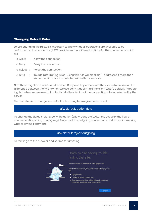#### **Changing Default Rules**

Before changing the rules, it's important to know what all operations are available to be performed on the connection, UFW provides us four different options for the connections which are:

- o Allow : Allow the connection
- o Deny : Deny the connection
- o Reject : Reject the connection
- o Limit : To add rate limiting rules , using this rule will block an IP addresses if more than six connections are instantiated within thirty seconds

Now there might be a confusion between Deny and Reject because they seem to be similar, the difference between the two is when we use deny, it doesn't tell the client what's actually happening, but when we use reject, it actually tells the client that the connection is being rejected by the server.

The next step is to change few default rules, using below given command

#### ufw default action flow

To change the default rule, specify the action (allow, deny etc.). After that, specify the flow of connection (incoming or outgoing). To deny all the outgoing connections, and to test it's working write following command:

#### ufw default reject outgoing

To test it, go to the browser and search for anything.

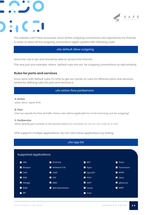



The website can't have accessed, since all the outgoing connections are rejected by the firewall, in order to allow all the outgoing connections again update with following code:

#### ufw default allow outgoing

Once this rule is set, one should be able to access the internet.

This was just one example; where default rules are set for outgoing connections as well similarly

#### **Rules for ports and services**

Once done with default rules, it's time to get our hands on rules for different ports and services, syntax for defining rules for port and services is

#### ufw action flow port|service

#### **A. Action**

allow, deny, reject, limit.

#### **B. Flow**

Here we specify the flow of traffic, these rules will be applicable for in: for incoming, out: for outgoing)

#### **C. Port|service**

Either specify port number or the service name *(for example: for ssh we can write 22 or ssh)*

UFW supports multiple applications, we can view these applications by writing:

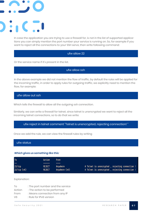In case the application you are trying to use a firewall for, is not in the list of supported applications you can simply mention the port number your service is running on. So, for example if you want to reject all the connections to your SSH serve, then write following command:

#### ufw allow 22

Or the service name if it's present in the list.

ufw allow ssh

In the above example we did not mention the flow of traffic, by default the rules will be applied for the incoming traffic, in order to apply rules for outgoing traffic, we explicitly need to mention the flow, for example:

ufw allow out ssh

Which tells the firewall to allow all the outgoing ssh connection.

Similarly, we can write a firewall for telnet, since telnet is unencrypted we want to reject all the incoming telnet connections, so to do that we write:

ufw reject in telnet comment "Telnet is unencrypted, rejecting connection! "

Once we add the rule, we can view the firewall rules by writing

ufw status

#### *Which gives us something like this:*

| T <sub>o</sub>        | Action                         | From                      |                                                                                                 |
|-----------------------|--------------------------------|---------------------------|-------------------------------------------------------------------------------------------------|
| $\sim$ $\sim$         | ------                         | ----                      |                                                                                                 |
| 23/top<br>23/top (v6) | <b>REJECT</b><br><b>REJECT</b> | Anvwhere<br>Anywhere (v6) | # Telnet is unencrypted, rejecting connection<br># Telnet is unencrypted, rejecting connection! |

Explanation:

| Tο     | : The port number and the service |
|--------|-----------------------------------|
| Action | : The action to be performed      |
| From   | : Means connection from any IP    |
| V6     | : Rule for IPv6 version           |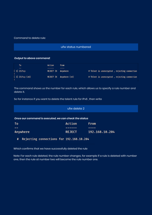#### Command to delete rule:

#### ufw status numbered

#### *Output to above command:*

| To                | Action             | From                    |                                               |
|-------------------|--------------------|-------------------------|-----------------------------------------------|
| $- -$             |                    |                         |                                               |
| $[1]$ 23/tcp      | REJECT IN Anywhere |                         | # Telnet is unencrypted, rejecting connection |
| $[2]$ 23/tcp (v6) |                    | REJECT IN Anywhere (v6) | # Telnet is unencrypted, rejecting connection |

The command shows us the number for each rule, which allows us to specify a rule number and delete it.

So for instance if you want to delete the telent rule for IPv6 , then write

| ufw delete 2                                          |               |                |  |  |
|-------------------------------------------------------|---------------|----------------|--|--|
| Once our command is executed, we can check the status |               |                |  |  |
| To                                                    | Action        | From           |  |  |
|                                                       |               |                |  |  |
| Anywhere                                              | <b>REJECT</b> | 192.168.10.204 |  |  |

Rejecting connections for 192.168.10.204  $\sharp$ 

Which confirms that we have successfully deleted the rule

Note: For each rule deleted, the rule number changes, for example if a rule is deleted with number one, then the rule at number two will become the rule number one.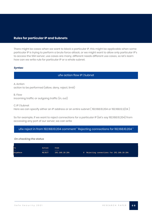#### **Rules for particular IP and Subnets**

There might be cases when we want to block a particular IP, this might be applicable when some particular IP is trying to perform a brute force attack, or we might want to allow only particular IP's to access the SSH server, use cases are many, different needs different use cases, so let's learn how can we write rule for particular IP or a whole subnet.

#### *Syntax:*

#### ufw action flow IP | Subnet

A. Action action to be performed (allow, deny, reject, limit)

B. Flow incoming traffic or outgoing traffic (in, out)

C. IP | Subnet Here we can specify either an IP address or an entire subnet ( 192.168.10.204 or 192.168.12.2/24 )

So for example, if we want to reject connections for a particular IP (let's say 192.168.10.204) from accessing any port of our server, we can write

ufw reject in from 192.168.10.204 comment " Rejecting connections for 192.168.10.204 "

#### *On checking the status*

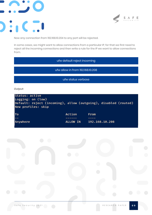



Now any connection from 192.168.10.204 to any port will be rejected.

In some cases, we might want to allow connections from a particular IP, for that we first need to reject all the incoming connections and then write a rule for the IP we want to allow connections from.

ufw default reject incoming

ufw allow in from 192.168.10.208

ufw status verbose

*Output:*

| Status: active<br>Logging: on (low)<br>Default: reject (incoming), allow (outgoing), disabled (routed)<br>New profiles: skip |                 |                |
|------------------------------------------------------------------------------------------------------------------------------|-----------------|----------------|
| To                                                                                                                           | Action          | From           |
| $--$                                                                                                                         |                 |                |
| Anywhere                                                                                                                     | <b>ALLOW IN</b> | 192.168.10.208 |

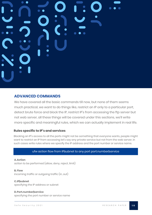## **ADVANCED COMMANDS**

We have covered all the basic commands till now, but none of them seems much practical, we want to do things like, restrict an IP only to a particular port, detect brute force and block the IP, restrict IP's from accessing the ftp server but not web server, all these things will be covered under this sections, we'll write more specific and meaningful rules, which we can actually implement in real life.

#### **Rules specific to IP's and services**

Blocking an IP's access to all the ports might not be something that everyone wants, people might want to restrict an IP from accessing let's say any private service but not from the web server, in such cases write rules where we specify the IP address and the port number or service name.

#### ufw action flow from IP|subnet to any port port.number|service

**A. Action** action to be performed (allow, deny, reject, limit)

#### **B. Flow**

incoming traffic or outgoing traffic (in, out)

#### **C. IP|subnet**

specifying the IP address or subnet

#### **D. Port.number|service**

specifying the port number or service name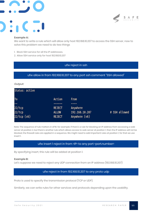



#### **Example A:**

We want to write a rule which will allow only host 192.168.10.207 to access the SSH server, now to solve this problem we need to do two things

- 1. Block SSH service for all the IP addresses.
- 2. Allow SSH service only for host 192.168.10.207

#### ufw reject in ssh

#### ufw allow in from 192.168.10.207 to any port ssh comment "SSH allowed"

#### *Output:*

| Status: active |               |                |               |
|----------------|---------------|----------------|---------------|
| To             | Action        | From           |               |
| --             |               |                |               |
| 22/tep         | <b>REJECT</b> | Anywhere       |               |
| 22/tep         | <b>ALLOW</b>  | 192.168.10.207 | # SSH allowed |
| 22/tcp (v6)    | <b>REJECT</b> | Anywhere (v6)  |               |

Note: The sequence of rule matters in UFW, for example: if there's a rule for blocking an IP address from accessing a web server at position 2, but there's another rule which allows access to web server at position 1, then the IP address will not be blocked, the firewall rules are applied in a sequence. We might need to add important rules at position 1, for that we use insert 1.

#### ufw insert 1 reject in from <IP> to any port <port.number>

By specifying insert, this rule will be added at position 1.

#### **Example B:**

Let's suppose we need to reject any UDP connection from an IP address (192.168.10.207)

#### ufw reject in from 192.168.10.207 to any proto udp

Proto is used to specify the transmission protocol (TCP or UDP).

Similarly, we can write rules for other services and protocols depending upon the usability.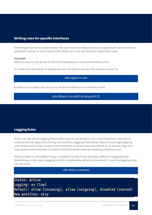#### **Writing rules for specific interfaces**

There might be some cases where, the user wants to allow access to a particular service from a particular subnet, in such cases UFW allows us to set up interface dependent rules

#### **Example:**

Allow access to ssh server to all the IP addresses on network interface eth0.

To make sure that other IP addresses are not able to access the service on port 22

ufw reject in ssh

Another rule to allow ssh access to all the IP addresses on interface eth0

ufw allow in on eth0 to any port 22

#### **Logging Rules**

When we talk about logging information about connections, it's a very important concept to understand the type of incoming connections, logging information about incoming/outgoing connections can help a system administrator, to trace back any attack to its source, logs also help system administrator to check if all the firewall rules are working properly or not.

UFW provides us the ability to log, in addition to that it also provides different logging levels depending on the need, logging in UFW is enabled by default at low level. To see the logging level, we can write

#### ufw status verbose

Status: active Logging: on (low) Default: allow (incoming), allow (outgoing), disabled (routed) New profiles: skip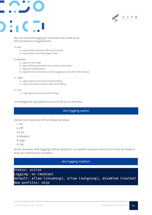

We can see that logging is on and is set to low level. UFW provides four logging levels:

A. Low:

- a. Logs blocked packets (with rate limiting)
- b. Logs packet matching logged rules

B. Medium:

- a. Logs Low level logs
- b. Logs all allowed packets not matching with policy
- c. Logs all invalid packets
- d. Logs all new connections (all the logging is done with rate limiting)

C. High:

- a. Logs medium level without rate limiting
- b. Logs all the other packets with rate limiting

D. Full:

a. Logs high level without rate limiting

To change the log levels or to turn it off or on, we write:

#### ufw logging option

Option can have any of the following values

- 1. On
- 2. Off
- 3. Low
- 4. Medium
- 5. High
- 6. Full

So for example: UFW logging if off by default in my system and you need to turn it on at medium level, so command is as follow:

#### ufw logging medium

Status: active Logging: on (medium) Default: allow (incoming), allow (outgoing), disabled (routed) New profiles: skip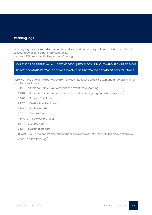#### **Reading logs**

Reading logs is very important as we have discussed earlier, they help us to detect any threat, test our firewall and other important tasks. Logs for UFW are stored in file /var/logs/ufw.log

## Oct 31 16:29:53 FRIEND kernel: [ 3253.426605] [UFW BLOCK] IN= OUT=eth0 SRC=SIP DST=DIP LEN=73 TOS=0x00 PREC=0x00 TTL=64 ID=61481 DF PROTO=UDP SPT=45316 DPT=53 LEN=53

Here we have one of the many logs from ufw.log file, so let's break it down and understand what exactly does it mean

- 1. IN : If this contains a value means the event was incoming
- 2. OUT : If this contains a value means the event was outgoing (interface specified)
- 3. SRC : Source IP address
- 4. DST : Destination IP address
- 5. LEN : Packet length
- 6. TTL : Time to lives
- 7. PROTO : Packet's protocol
- 8. SPT : Source port
- 9. DPT : Destination port

10. WINDOW : The packet size , that sender can receive ( not present in the above example ,

since it's a low level log )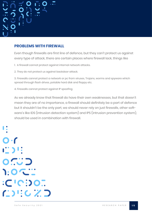### **PROBLEMS WITH FIREWALL**

Even though firewalls are first line of defence, but they can't protect us against every type of attack, there are certain places where firewall lack, things like

1. A firewall cannot protect against internal network attacks.

2. They do not protect us against backdoor attack.

3. Firewalls cannot protect a network or pc from viruses, Trojans, worms and spyware which spread through flash drives, potable hard disk and floppy etc.

4. Firewalls cannot protect against IP spoofing

As we already know that firewall do have their own weaknesses, but that doesn't mean they are of no importance, a firewall should definitely be a part of defence but it shouldn't be the only part, we should never rely on just firewalls, other software's like IDS (intrusion detection system) and IPS (intrusion prevention system), should be used in combination with firewall.

 $O·f$ 1231: 0.. 0 1:02  $:C'C$ :  $O$ :  $I$  $\mathbf{C}$ ) i:  $\mathbf{C}$   $\mathbf{Z}$   $\mathbf{D}$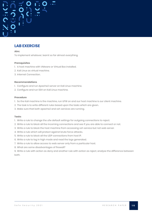## **LAB EXERCISE**

#### **Aim:**

To implement whatever, learnt so far almost everything.

#### **Prerequisites**

- 1. A host machine with VMware or Virtual Box installed.
- 2. Kali Linux as virtual machine.
- 3. Internet Connection.

#### **Recommendations**

- 1. Configure and run Apache2 server on Kali Linux machine.
- 2. Configure and run SSH on Kali Linux machine.

#### **Procedure**

- 1. So the Kali machine is the machine, run UFW on and our host machine is our client machine.
- 2. The task is to write different rules based upon the tasks which are given.
- 3. Make sure that both apache2 and ssh services are running.

#### **Tasks**

- 1. Write a rule to change the ufw default settings for outgoing connections to reject.
- 2. Write a rule to block all the incoming connections and see if you are able to connect or not.
- 3. Write a rule to block the host machine from accessing ssh service but not web server.
- 4. Write a rule which will protect against brute force attacks.
- 5. Write a rule to block all the UDP connections from host IP.
- 6. Write a rule to log in high mode and read the logs generated.
- 7. Write a rule to allow access to web server only from a particular host.
- 8. What are some disadvantages of firewall?

9. Write a rule with action as deny and another rule with action as reject, analyse the difference between both.